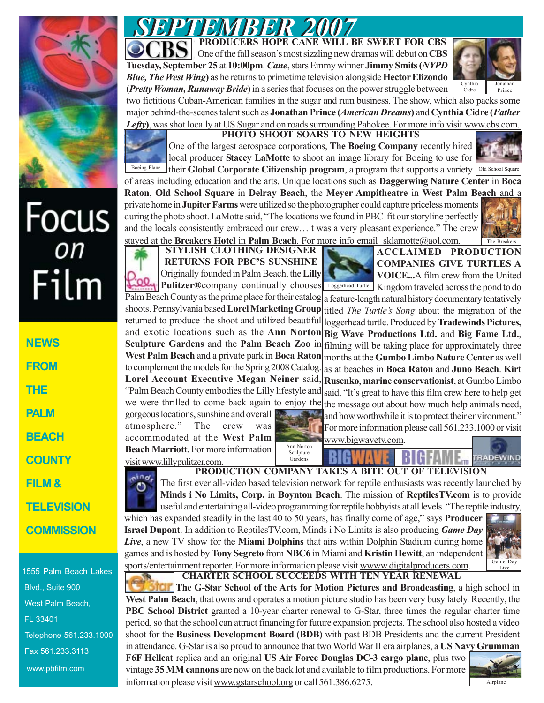

# Focus<br>
Film

| <b>NEWS</b>       |
|-------------------|
| <b>FROM</b>       |
| THE               |
| <b>PALM</b>       |
| <b>BEACH</b>      |
| <b>COUNTY</b>     |
| FILM &            |
| <b>TELEVISION</b> |
| <b>COMMISSION</b> |

1555 Palm Beach Lakes Blvd., Suite 900 West Palm Beach, FL 33401 Telephone 561.233.1000 Fax 561.233.3113 www.pbfilm.com

*SEPTEMBER 2007 SEPTEMBER 2007* **PRODUCERS HOPE CANE WILL BE SWEET FOR CBS** One of the fall season's most sizzling new dramas will debut on **CBS**

**Tuesday, September 25** at **10:00pm**. *Cane*, stars Emmy winner **Jimmy Smits (***NYPD Blue, The West Wing***)** as he returns to primetime television alongside **Hector Elizondo (***Pretty Woman, Runaway Bride***)** in a series that focuses on the power struggle between



two fictitious Cuban-American families in the sugar and rum business. The show, which also packs some major behind-the-scenes talent such as **Jonathan Prince (***American Dreams***)** and **Cynthia Cidre (***Father* Lefty), was shot locally at US Sugar and on roads surrounding Pahokee. For more info visit www.cbs.com.



**PHOTO SHOOT SOARS TO NEW HEIGHTS**

One of the largest aerospace corporations, **The Boeing Company** recently hired local producer **Stacey LaMotte** to shoot an image library for Boeing to use for

Boeing Plane their **Global Corporate Citizenship program**, a program that supports a variety old School Square of areas including education and the arts. Unique locations such as **Daggerwing Nature Center** in **Boca Raton**, **Old School Square** in **Delray Beach**, the **Meyer Ampitheatre** in **West Palm Beach** and a

private home in **Jupiter Farms** were utilized so the photographer could capture priceless moments during the photo shoot. LaMotte said, "The locations we found in PBC fit our storyline perfectly and the locals consistently embraced our crew…it was a very pleasant experience." The crew stayed at the **Breakers Hotel** in **Palm Beach**. For more info email sklamotte@aol.com.



**STYLISH CLOTHING DESIGNER RETURNS FOR PBC'S SUNSHINE** Originally founded in Palm Beach, the **Lilly Pulitzer®**company continually chooses

Loggerhead Turtle Kingdom traveled across the pond to do **ACCLAIMED PRODUCTION COMPANIES GIVE TURTLES A VOICE...**A film crew from the United

Palm Beach County as the prime place for their catalog shoots. Pennsylvania based **Lorel Marketing Group** returned to produce the shoot and utilized beautiful and exotic locations such as the **Ann Norton Sculpture Gardens** and the **Palm Beach Zoo** in **West Palm Beach** and a private park in **Boca Raton** to complement the models for the Spring 2008 Catalog. **Lorel Account Executive Megan Neiner** said, "Palm Beach County embodies the Lilly lifestyle and we were thrilled to come back again to enjoy the a feature-length natural history documentary tentatively titled *The Turtle's Song* about the migration of the loggerhead turtle. Produced by **Tradewinds Pictures, Big Wave Productions Ltd.** and **Big Fame Ltd.**, filming will be taking place for approximately three months at the **Gumbo Limbo Nature Center** as well as at beaches in **Boca Raton** and **Juno Beach**. **Kirt Rusenko**, **marine conservationist**, at Gumbo Limbo said, "It's great to have this film crew here to help get the message out about how much help animals need,

gorgeous locations, sunshine and overall atmosphere." The crew was accommodated at the **West Palm Beach Marriott**. For more information visit www.lillypulitzer.com.

ina,



and how worthwhile it is to protect their environment." For more information please call 561.233.1000 or visit

www.bigwavetv.com.

### **TRADEWIND** Gardens **PRODUCTION COMPANY TAKES A BITE OUT OF TELEVISION**

The first ever all-video based television network for reptile enthusiasts was recently launched by **Minds i No Limits, Corp.** in **Boynton Beach**. The mission of **ReptilesTV.com** is to provide useful and entertaining all-video programming for reptile hobbyists at all levels. "The reptile industry,

which has expanded steadily in the last 40 to 50 years, has finally come of age," says **Producer Israel Dupont**. In addition to ReptilesTV.com, Minds i No Limits is also producing *Game Day Live*, a new TV show for the **Miami Dolphins** that airs within Dolphin Stadium during home games and is hosted by **Tony Segreto** from **NBC6** in Miami and **Kristin Hewitt**, an independent sports/entertainment reporter. For more information please visit wwww.digitalproducers.com.  **CHARTER SCHOOL SUCCEEDS WITH TEN YEAR RENEWAL**



**The G-Star School of the Arts for Motion Pictures and Broadcasting**, a high school in **West Palm Beach**, that owns and operates a motion picture studio has been very busy lately. Recently, the **PBC School District** granted a 10-year charter renewal to G-Star, three times the regular charter time period, so that the school can attract financing for future expansion projects. The school also hosted a video shoot for the **Business Development Board (BDB)** with past BDB Presidents and the current President in attendance. G-Star is also proud to announce that two World War II era airplanes, a **US Navy Grumman**

**F6F Hellcat** replica and an original **US Air Force Douglas DC-3 cargo plane**, plus two vintage **35 MM cannons** are now on the back lot and available to film productions. For more information please visit www.gstarschool.org or call 561.386.6275.